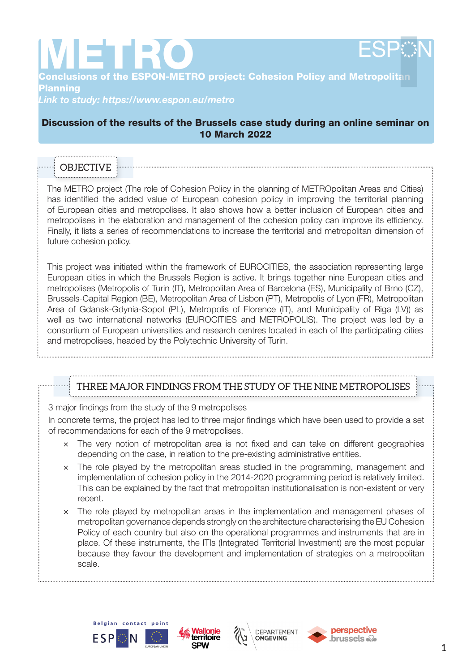

**METRO**<br>Conclusions of the ESPON-METRO project: Cohesion Policy and Metropolitan Planning

*Link to study: https://www.espon.eu/metro*

#### Discussion of the results of the Brussels case study during an online seminar on 10 March 2022

# **OBJECTIV**

The METRO project (The role of Cohesion Policy in the planning of METROpolitan Areas and Cities) has identified the added value of European cohesion policy in improving the territorial planning of European cities and metropolises. It also shows how a better inclusion of European cities and metropolises in the elaboration and management of the cohesion policy can improve its efficiency. Finally, it lists a series of recommendations to increase the territorial and metropolitan dimension of future cohesion policy.

This project was initiated within the framework of EUROCITIES, the association representing large European cities in which the Brussels Region is active. It brings together nine European cities and metropolises (Metropolis of Turin (IT), Metropolitan Area of Barcelona (ES), Municipality of Brno (CZ), Brussels-Capital Region (BE), Metropolitan Area of Lisbon (PT), Metropolis of Lyon (FR), Metropolitan Area of Gdansk-Gdynia-Sopot (PL), Metropolis of Florence (IT), and Municipality of Riga (LV)) as well as two international networks (EUROCITIES and METROPOLIS). The project was led by a consortium of European universities and research centres located in each of the participating cities and metropolises, headed by the Polytechnic University of Turin.

### THREE MAJOR FINDINGS FROM THE STUDY OF THE NINE METROPOLISES

3 major findings from the study of the 9 metropolises

In concrete terms, the project has led to three major findings which have been used to provide a set of recommendations for each of the 9 metropolises.

- × The very notion of metropolitan area is not fixed and can take on different geographies depending on the case, in relation to the pre-existing administrative entities.
- × The role played by the metropolitan areas studied in the programming, management and implementation of cohesion policy in the 2014-2020 programming period is relatively limited. This can be explained by the fact that metropolitan institutionalisation is non-existent or very recent.
- × The role played by metropolitan areas in the implementation and management phases of metropolitan governance depends strongly on the architecture characterising the EU Cohesion Policy of each country but also on the operational programmes and instruments that are in place. Of these instruments, the ITIs (Integrated Territorial Investment) are the most popular because they favour the development and implementation of strategies on a metropolitan scale.







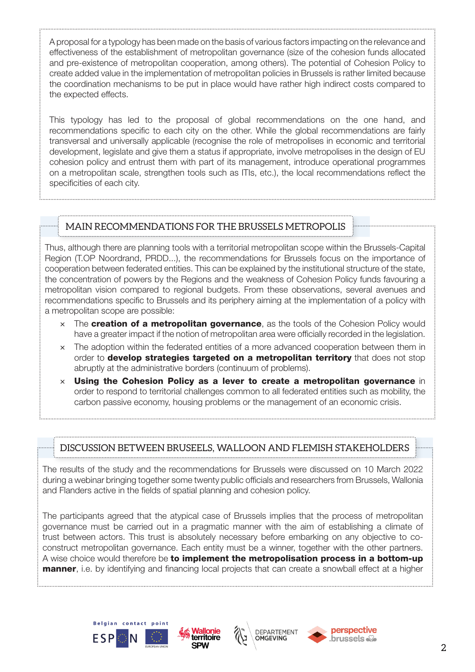A proposal for a typology has been made on the basis of various factors impacting on the relevance and effectiveness of the establishment of metropolitan governance (size of the cohesion funds allocated and pre-existence of metropolitan cooperation, among others). The potential of Cohesion Policy to create added value in the implementation of metropolitan policies in Brussels is rather limited because the coordination mechanisms to be put in place would have rather high indirect costs compared to the expected effects.

This typology has led to the proposal of global recommendations on the one hand, and recommendations specific to each city on the other. While the global recommendations are fairly transversal and universally applicable (recognise the role of metropolises in economic and territorial development, legislate and give them a status if appropriate, involve metropolises in the design of EU cohesion policy and entrust them with part of its management, introduce operational programmes on a metropolitan scale, strengthen tools such as ITIs, etc.), the local recommendations reflect the specificities of each city.

## MAIN RECOMMENDATIONS FOR THE BRUSSELS METROPOLIS

Thus, although there are planning tools with a territorial metropolitan scope within the Brussels-Capital Region (T.OP Noordrand, PRDD...), the recommendations for Brussels focus on the importance of cooperation between federated entities. This can be explained by the institutional structure of the state, the concentration of powers by the Regions and the weakness of Cohesion Policy funds favouring a metropolitan vision compared to regional budgets. From these observations, several avenues and recommendations specific to Brussels and its periphery aiming at the implementation of a policy with a metropolitan scope are possible:

- $\times$  The creation of a metropolitan governance, as the tools of the Cohesion Policy would have a greater impact if the notion of metropolitan area were officially recorded in the legislation.
- × The adoption within the federated entities of a more advanced cooperation between them in order to **develop strategies targeted on a metropolitan territory** that does not stop abruptly at the administrative borders (continuum of problems).
- $\times$  Using the Cohesion Policy as a lever to create a metropolitan governance in order to respond to territorial challenges common to all federated entities such as mobility, the carbon passive economy, housing problems or the management of an economic crisis.

### DISCUSSION BETWEEN BRUSEELS, WALLOON AND FLEMISH STAKEHOLDERS

The results of the study and the recommendations for Brussels were discussed on 10 March 2022 during a webinar bringing together some twenty public officials and researchers from Brussels, Wallonia and Flanders active in the fields of spatial planning and cohesion policy.

The participants agreed that the atypical case of Brussels implies that the process of metropolitan governance must be carried out in a pragmatic manner with the aim of establishing a climate of trust between actors. This trust is absolutely necessary before embarking on any objective to coconstruct metropolitan governance. Each entity must be a winner, together with the other partners. A wise choice would therefore be to implement the metropolisation process in a bottom-up **manner**, i.e. by identifying and financing local projects that can create a snowball effect at a higher